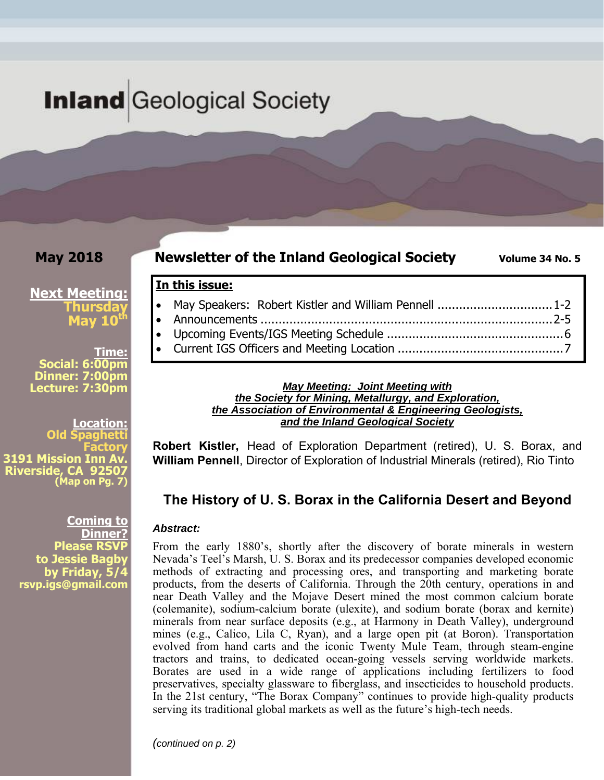# **Inland** Geological Society

**In this issue:** 

### **May 2018**

#### **Newsletter of the Inland Geological Society** Volume 34 No. 5

### **Next Meeting: Thursday May 10**

**Time: Social: 6:00pm Dinner: 7:00pm Lecture: 7:30pm** 

**Location: Old Factory 3191 Mission Inn A Riverside, CA 92507 (Map on Pg. 7)**

> **Coming to Dinner? Please RSVP to Jessie Bagby by Friday, 5/4 rsvp.igs@gmail.com**

#### *May Meeting: Joint Meeting with the Society for Mining, Metallurgy, and Exploration, the Association of Environmental & Engineering Geologists, and the Inland Geological Society*

• May Speakers: Robert Kistler and William Pennell ................................1-2 Announcements ................................................................................. 2-5 Upcoming Events/IGS Meeting Schedule ................................................. 6 Current IGS Officers and Meeting Location .............................................. 7

**Robert Kistler,** Head of Exploration Department (retired), U. S. Borax, and **William Pennell**, Director of Exploration of Industrial Minerals (retired), Rio Tinto

### **The History of U. S. Borax in the California Desert and Beyond**

#### *Abstract:*

From the early 1880's, shortly after the discovery of borate minerals in western Nevada's Teel's Marsh, U. S. Borax and its predecessor companies developed economic methods of extracting and processing ores, and transporting and marketing borate products, from the deserts of California. Through the 20th century, operations in and near Death Valley and the Mojave Desert mined the most common calcium borate (colemanite), sodium-calcium borate (ulexite), and sodium borate (borax and kernite) minerals from near surface deposits (e.g., at Harmony in Death Valley), underground mines (e.g., Calico, Lila C, Ryan), and a large open pit (at Boron). Transportation evolved from hand carts and the iconic Twenty Mule Team, through steam-engine tractors and trains, to dedicated ocean-going vessels serving worldwide markets. Borates are used in a wide range of applications including fertilizers to food preservatives, specialty glassware to fiberglass, and insecticides to household products. In the 21st century, "The Borax Company" continues to provide high-quality products serving its traditional global markets as well as the future's high-tech needs.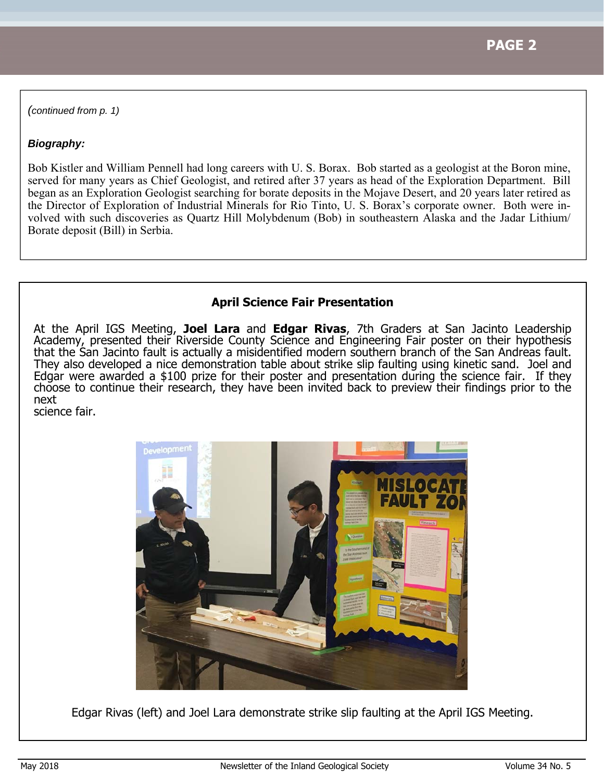*(continued from p. 1)* 

#### *Biography:*

Bob Kistler and William Pennell had long careers with U. S. Borax. Bob started as a geologist at the Boron mine, served for many years as Chief Geologist, and retired after 37 years as head of the Exploration Department. Bill began as an Exploration Geologist searching for borate deposits in the Mojave Desert, and 20 years later retired as the Director of Exploration of Industrial Minerals for Rio Tinto, U. S. Borax's corporate owner. Both were involved with such discoveries as Quartz Hill Molybdenum (Bob) in southeastern Alaska and the Jadar Lithium/ Borate deposit (Bill) in Serbia.

### **April Science Fair Presentation**

At the April IGS Meeting, **Joel Lara** and **Edgar Rivas**, 7th Graders at San Jacinto Leadership Academy, presented their Riverside County Science and Engineering Fair poster on their hypothesis that the San Jacinto fault is actually a misidentified modern southern branch of the San Andreas fault. They also developed a nice demonstration table about strike slip faulting using kinetic sand. Joel and Edgar were awarded a \$100 prize for their poster and presentation during the science fair. If they choose to continue their research, they have been invited back to preview their findings prior to the next

science fair.



Edgar Rivas (left) and Joel Lara demonstrate strike slip faulting at the April IGS Meeting.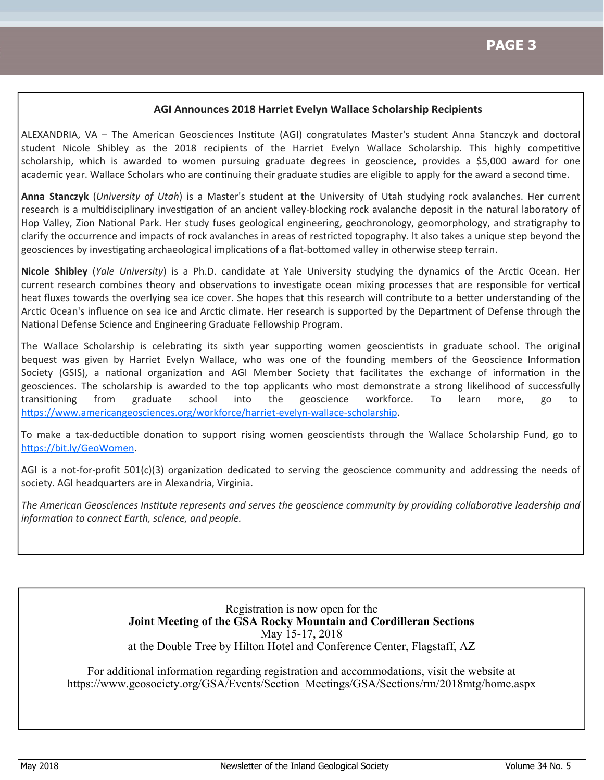#### **AGI Announces 2018 Harriet Evelyn Wallace Scholarship Recipients**

ALEXANDRIA, VA - The American Geosciences Institute (AGI) congratulates Master's student Anna Stanczyk and doctoral student Nicole Shibley as the 2018 recipients of the Harriet Evelyn Wallace Scholarship. This highly competitive scholarship, which is awarded to women pursuing graduate degrees in geoscience, provides a \$5,000 award for one academic year. Wallace Scholars who are continuing their graduate studies are eligible to apply for the award a second time.

**Anna Stanczyk** (*University of Utah*) is a Master's student at the University of Utah studying rock avalanches. Her current research is a multidisciplinary investigation of an ancient valley-blocking rock avalanche deposit in the natural laboratory of Hop Valley, Zion National Park. Her study fuses geological engineering, geochronology, geomorphology, and stratigraphy to clarify the occurrence and impacts of rock avalanches in areas of restricted topography. It also takes a unique step beyond the geosciences by investigating archaeological implications of a flat-bottomed valley in otherwise steep terrain.

Nicole Shibley (*Yale University*) is a Ph.D. candidate at Yale University studying the dynamics of the Arctic Ocean. Her current research combines theory and observations to investigate ocean mixing processes that are responsible for vertical heat fluxes towards the overlying sea ice cover. She hopes that this research will contribute to a better understanding of the Arctic Ocean's influence on sea ice and Arctic climate. Her research is supported by the Department of Defense through the National Defense Science and Engineering Graduate Fellowship Program.

The Wallace Scholarship is celebrating its sixth year supporting women geoscientists in graduate school. The original bequest was given by Harriet Evelyn Wallace, who was one of the founding members of the Geoscience Information Society (GSIS), a national organization and AGI Member Society that facilitates the exchange of information in the geosciences. The scholarship is awarded to the top applicants who most demonstrate a strong likelihood of successfully transitioning from graduate school into the geoscience workforce. To learn more, go to https://www.americangeosciences.org/workforce/harriet-evelyn-wallace-scholarship.

To make a tax-deductible donation to support rising women geoscientists through the Wallace Scholarship Fund, go to https://bit.ly/GeoWomen.

AGI is a not-for-profit 501(c)(3) organization dedicated to serving the geoscience community and addressing the needs of society. AGI headquarters are in Alexandria, Virginia.

The American Geosciences Institute represents and serves the geoscience community by providing collaborative leadership and *informaƟon to connect Earth, science, and people.*

> Registration is now open for the **Joint Meeting of the GSA Rocky Mountain and Cordilleran Sections**  May 15-17, 2018 at the Double Tree by Hilton Hotel and Conference Center, Flagstaff, AZ

For additional information regarding registration and accommodations, visit the website at https://www.geosociety.org/GSA/Events/Section\_Meetings/GSA/Sections/rm/2018mtg/home.aspx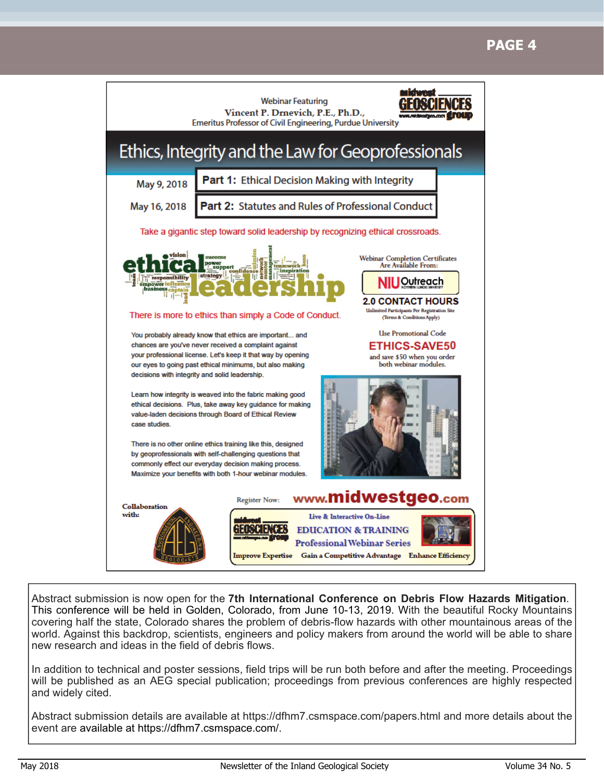# **PAGE 4**



Abstract submission is now open for the **7th International Conference on Debris Flow Hazards Mitigation**. This conference will be held in Golden, Colorado, from June 10-13, 2019. With the beautiful Rocky Mountains covering half the state, Colorado shares the problem of debris-flow hazards with other mountainous areas of the world. Against this backdrop, scientists, engineers and policy makers from around the world will be able to share new research and ideas in the field of debris flows.

In addition to technical and poster sessions, field trips will be run both before and after the meeting. Proceedings will be published as an AEG special publication; proceedings from previous conferences are highly respected and widely cited.

Abstract submission details are available at https://dfhm7.csmspace.com/papers.html and more details about the event are available at https://dfhm7.csmspace.com/.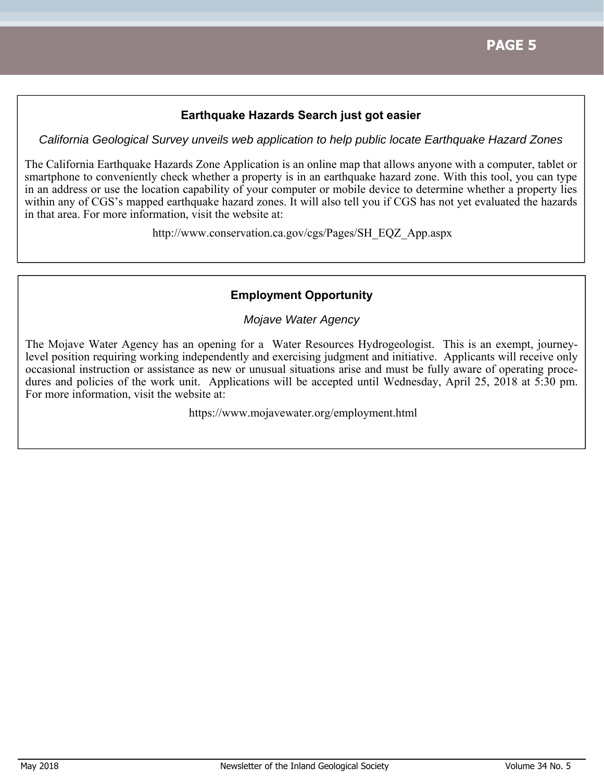#### **Earthquake Hazards Search just got easier**

*California Geological Survey unveils web application to help public locate Earthquake Hazard Zones* 

The California Earthquake Hazards Zone Application is an online map that allows anyone with a computer, tablet or smartphone to conveniently check whether a property is in an earthquake hazard zone. With this tool, you can type in an address or use the location capability of your computer or mobile device to determine whether a property lies within any of CGS's mapped earthquake hazard zones. It will also tell you if CGS has not yet evaluated the hazards in that area. For more information, visit the website at:

http://www.conservation.ca.gov/cgs/Pages/SH\_EQZ\_App.aspx

#### **Employment Opportunity**

*Mojave Water Agency* 

The Mojave Water Agency has an opening for a Water Resources Hydrogeologist. This is an exempt, journeylevel position requiring working independently and exercising judgment and initiative. Applicants will receive only occasional instruction or assistance as new or unusual situations arise and must be fully aware of operating procedures and policies of the work unit. Applications will be accepted until Wednesday, April 25, 2018 at 5:30 pm. For more information, visit the website at:

https://www.mojavewater.org/employment.html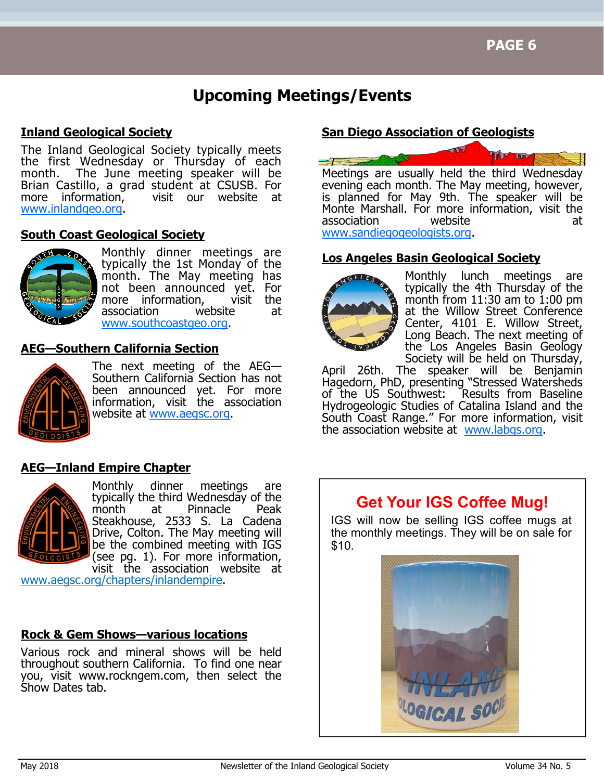# **Upcoming Meetings/Events**

#### **Inland Geological Society**

The Inland Geological Society typically meets the first Wednesday or Thursday of each month. The June meeting speaker will be Brian Castillo, a grad student at CSUSB. For more information, visit our website at www.inlandgeo.org.

#### **South Coast Geological Society**



Monthly dinner meetings are typically the 1st Monday of the month. The May meeting has not been announced yet. For more information, visit the association website at www.southcoastgeo.org.

#### **AEG—Southern California Section**



The next meeting of the AEG— Southern California Section has not been announced yet. For more information, visit the association website at www.aegsc.org.

### **AEG—Inland Empire Chapter**



Monthly dinner meetings are typically the third Wednesday of the month at Pinnacle Peak Steakhouse, 2533 S. La Cadena Drive, Colton. The May meeting will be the combined meeting with IGS (see pg. 1). For more information, visit the association website at

www.aegsc.org/chapters/inlandempire.

#### **Rock & Gem Shows—various locations**

Various rock and mineral shows will be held throughout southern California. To find one near you, visit www.rockngem.com, then select the Show Dates tab.

#### **San Diego Association of Geologists**



is planned for May 9th. The speaker will be Monte Marshall. For more information, visit the association website at www.sandiegogeologists.org.

#### **Los Angeles Basin Geological Society**



Monthly lunch meetings are typically the 4th Thursday of the month from  $11:30$  am to  $1:00$  pm at the Willow Street Conference Center, 4101 E. Willow Street, Long Beach. The next meeting of the Los Angeles Basin Geology Society will be held on Thursday,

April 26th. The speaker will be Benjamin Hagedorn, PhD, presenting "Stressed Watersheds of the US Southwest: Results from Baseline Hydrogeologic Studies of Catalina Island and the South Coast Range." For more information, visit the association website at www.labgs.org.

## **Get Your IGS Coffee Mug!**

IGS will now be selling IGS coffee mugs at the monthly meetings. They will be on sale for \$10.